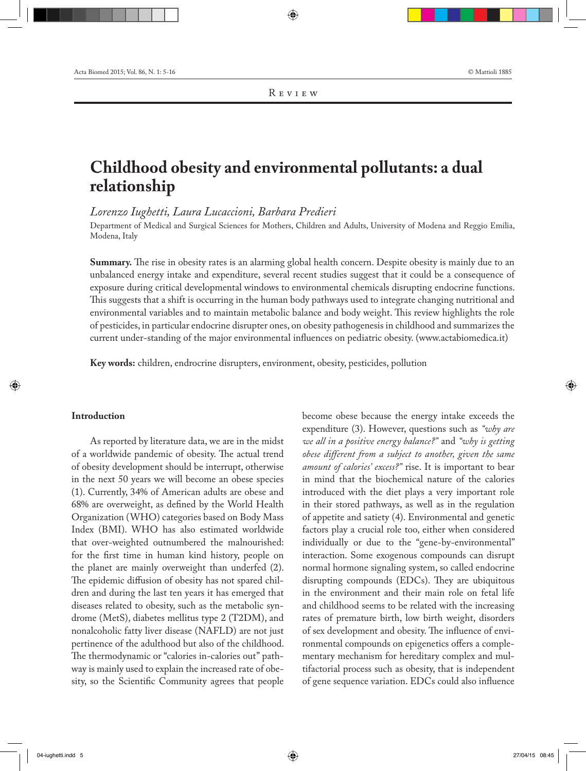# **Childhood obesity and environmental pollutants: a dual relationship**

*Lorenzo Iughetti, Laura Lucaccioni, Barbara Predieri*

Department of Medical and Surgical Sciences for Mothers, Children and Adults, University of Modena and Reggio Emilia, Modena, Italy

**Summary.** The rise in obesity rates is an alarming global health concern. Despite obesity is mainly due to an unbalanced energy intake and expenditure, several recent studies suggest that it could be a consequence of exposure during critical developmental windows to environmental chemicals disrupting endocrine functions. This suggests that a shift is occurring in the human body pathways used to integrate changing nutritional and environmental variables and to maintain metabolic balance and body weight. This review highlights the role of pesticides, in particular endocrine disrupter ones, on obesity pathogenesis in childhood and summarizes the current under-standing of the major environmental influences on pediatric obesity. (www.actabiomedica.it)

**Key words:** children, endrocrine disrupters, environment, obesity, pesticides, pollution

## **Introduction**

As reported by literature data, we are in the midst of a worldwide pandemic of obesity. The actual trend of obesity development should be interrupt, otherwise in the next 50 years we will become an obese species (1). Currently, 34% of American adults are obese and 68% are overweight, as defined by the World Health Organization (WHO) categories based on Body Mass Index (BMI). WHO has also estimated worldwide that over-weighted outnumbered the malnourished: for the first time in human kind history, people on the planet are mainly overweight than underfed (2). The epidemic diffusion of obesity has not spared children and during the last ten years it has emerged that diseases related to obesity, such as the metabolic syndrome (MetS), diabetes mellitus type 2 (T2DM), and nonalcoholic fatty liver disease (NAFLD) are not just pertinence of the adulthood but also of the childhood. The thermodynamic or "calories in-calories out" pathway is mainly used to explain the increased rate of obesity, so the Scientific Community agrees that people

become obese because the energy intake exceeds the expenditure (3). However, questions such as *"why are we all in a positive energy balance?"* and *"why is getting obese different from a subject to another, given the same amount of calories' excess?"* rise. It is important to bear in mind that the biochemical nature of the calories introduced with the diet plays a very important role in their stored pathways, as well as in the regulation of appetite and satiety (4). Environmental and genetic factors play a crucial role too, either when considered individually or due to the "gene-by-environmental" interaction. Some exogenous compounds can disrupt normal hormone signaling system, so called endocrine disrupting compounds (EDCs). They are ubiquitous in the environment and their main role on fetal life and childhood seems to be related with the increasing rates of premature birth, low birth weight, disorders of sex development and obesity. The influence of environmental compounds on epigenetics offers a complementary mechanism for hereditary complex and multifactorial process such as obesity, that is independent of gene sequence variation. EDCs could also influence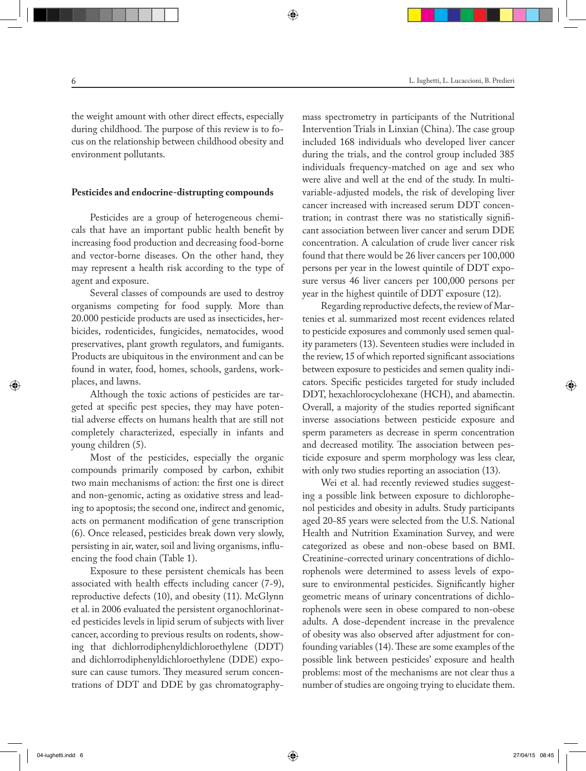the weight amount with other direct effects, especially

during childhood. The purpose of this review is to focus on the relationship between childhood obesity and environment pollutants.

# **Pesticides and endocrine-distrupting compounds**

Pesticides are a group of heterogeneous chemicals that have an important public health benefit by increasing food production and decreasing food-borne and vector-borne diseases. On the other hand, they may represent a health risk according to the type of agent and exposure.

Several classes of compounds are used to destroy organisms competing for food supply. More than 20.000 pesticide products are used as insecticides, herbicides, rodenticides, fungicides, nematocides, wood preservatives, plant growth regulators, and fumigants. Products are ubiquitous in the environment and can be found in water, food, homes, schools, gardens, workplaces, and lawns.

Although the toxic actions of pesticides are targeted at specific pest species, they may have potential adverse effects on humans health that are still not completely characterized, especially in infants and young children (5).

Most of the pesticides, especially the organic compounds primarily composed by carbon, exhibit two main mechanisms of action: the first one is direct and non-genomic, acting as oxidative stress and leading to apoptosis; the second one, indirect and genomic, acts on permanent modification of gene transcription (6). Once released, pesticides break down very slowly, persisting in air, water, soil and living organisms, influencing the food chain (Table 1).

Exposure to these persistent chemicals has been associated with health effects including cancer (7-9), reproductive defects (10), and obesity (11). McGlynn et al. in 2006 evaluated the persistent organochlorinated pesticides levels in lipid serum of subjects with liver cancer, according to previous results on rodents, showing that dichlorrodiphenyldichloroethylene (DDT) and dichlorrodiphenyldichloroethylene (DDE) exposure can cause tumors. They measured serum concentrations of DDT and DDE by gas chromatographymass spectrometry in participants of the Nutritional Intervention Trials in Linxian (China). The case group included 168 individuals who developed liver cancer during the trials, and the control group included 385 individuals frequency-matched on age and sex who were alive and well at the end of the study. In multivariable-adjusted models, the risk of developing liver cancer increased with increased serum DDT concentration; in contrast there was no statistically significant association between liver cancer and serum DDE concentration. A calculation of crude liver cancer risk found that there would be 26 liver cancers per 100,000 persons per year in the lowest quintile of DDT exposure versus 46 liver cancers per 100,000 persons per year in the highest quintile of DDT exposure (12).

Regarding reproductive defects, the review of Martenies et al. summarized most recent evidences related to pesticide exposures and commonly used semen quality parameters (13). Seventeen studies were included in the review, 15 of which reported significant associations between exposure to pesticides and semen quality indicators. Specific pesticides targeted for study included DDT, hexachlorocyclohexane (HCH), and abamectin. Overall, a majority of the studies reported significant inverse associations between pesticide exposure and sperm parameters as decrease in sperm concentration and decreased motility. The association between pesticide exposure and sperm morphology was less clear, with only two studies reporting an association  $(13)$ .

Wei et al. had recently reviewed studies suggesting a possible link between exposure to dichlorophenol pesticides and obesity in adults. Study participants aged 20-85 years were selected from the U.S. National Health and Nutrition Examination Survey, and were categorized as obese and non-obese based on BMI. Creatinine-corrected urinary concentrations of dichlorophenols were determined to assess levels of exposure to environmental pesticides. Significantly higher geometric means of urinary concentrations of dichlorophenols were seen in obese compared to non-obese adults. A dose-dependent increase in the prevalence of obesity was also observed after adjustment for confounding variables (14). These are some examples of the possible link between pesticides' exposure and health problems: most of the mechanisms are not clear thus a number of studies are ongoing trying to elucidate them.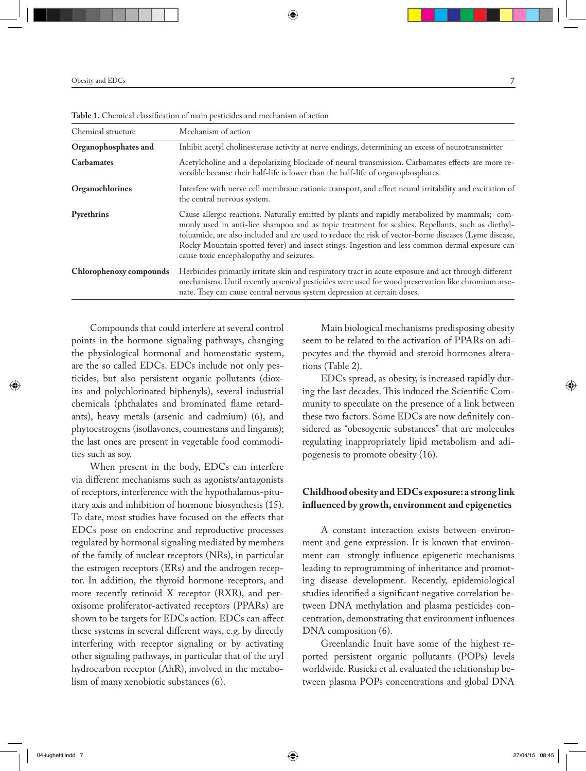| Chemical structure      | Mechanism of action                                                                                                                                                                                                                                                                                                                                                                                                                                      |
|-------------------------|----------------------------------------------------------------------------------------------------------------------------------------------------------------------------------------------------------------------------------------------------------------------------------------------------------------------------------------------------------------------------------------------------------------------------------------------------------|
| Organophosphates and    | Inhibit acetyl cholinesterase activity at nerve endings, determining an excess of neurotransmitter                                                                                                                                                                                                                                                                                                                                                       |
| <b>Carbamates</b>       | Acetylcholine and a depolarizing blockade of neural transmission. Carbamates effects are more re-<br>versible because their half-life is lower than the half-life of organophosphates.                                                                                                                                                                                                                                                                   |
| Organochlorines         | Interfere with nerve cell membrane cationic transport, and effect neural irritability and excitation of<br>the central nervous system.                                                                                                                                                                                                                                                                                                                   |
| Pyrethrins              | Cause allergic reactions. Naturally emitted by plants and rapidly metabolized by mammals; com-<br>monly used in anti-lice shampoo and as topic treatment for scabies. Repellants, such as diethyl-<br>toluamide, are also included and are used to reduce the risk of vector-borne diseases (Lyme disease,<br>Rocky Mountain spotted fever) and insect stings. Ingestion and less common dermal exposure can<br>cause toxic encephalopathy and seizures. |
| Chlorophenoxy compounds | Herbicides primarily irritate skin and respiratory tract in acute exposure and act through different<br>mechanisms. Until recently arsenical pesticides were used for wood preservation like chromium arse-<br>nate. They can cause central nervous system depression at certain doses.                                                                                                                                                                  |

**Table 1.** Chemical classification of main pesticides and mechanism of action

Compounds that could interfere at several control points in the hormone signaling pathways, changing the physiological hormonal and homeostatic system, are the so called EDCs. EDCs include not only pesticides, but also persistent organic pollutants (dioxins and polychlorinated biphenyls), several industrial chemicals (phthalates and brominated flame retardants), heavy metals (arsenic and cadmium) (6), and phytoestrogens (isoflavones, coumestans and lingams); the last ones are present in vegetable food commodities such as soy.

When present in the body, EDCs can interfere via different mechanisms such as agonists/antagonists of receptors, interference with the hypothalamus-pituitary axis and inhibition of hormone biosynthesis (15). To date, most studies have focused on the effects that EDCs pose on endocrine and reproductive processes regulated by hormonal signaling mediated by members of the family of nuclear receptors (NRs), in particular the estrogen receptors (ERs) and the androgen receptor. In addition, the thyroid hormone receptors, and more recently retinoid X receptor (RXR), and peroxisome proliferator-activated receptors (PPARs) are shown to be targets for EDCs action. EDCs can affect these systems in several different ways, e.g. by directly interfering with receptor signaling or by activating other signaling pathways, in particular that of the aryl hydrocarbon receptor (AhR), involved in the metabolism of many xenobiotic substances (6).

Main biological mechanisms predisposing obesity seem to be related to the activation of PPARs on adipocytes and the thyroid and steroid hormones alterations (Table 2).

EDCs spread, as obesity, is increased rapidly during the last decades. This induced the Scientific Community to speculate on the presence of a link between these two factors. Some EDCs are now definitely considered as "obesogenic substances" that are molecules regulating inappropriately lipid metabolism and adipogenesis to promote obesity (16).

# **Childhood obesity and EDCs exposure: a strong link influenced by growth, environment and epigenetics**

A constant interaction exists between environment and gene expression. It is known that environment can strongly influence epigenetic mechanisms leading to reprogramming of inheritance and promoting disease development. Recently, epidemiological studies identified a significant negative correlation between DNA methylation and plasma pesticides concentration, demonstrating that environment influences DNA composition (6).

Greenlandic Inuit have some of the highest reported persistent organic pollutants (POPs) levels worldwide. Rusicki et al. evaluated the relationship between plasma POPs concentrations and global DNA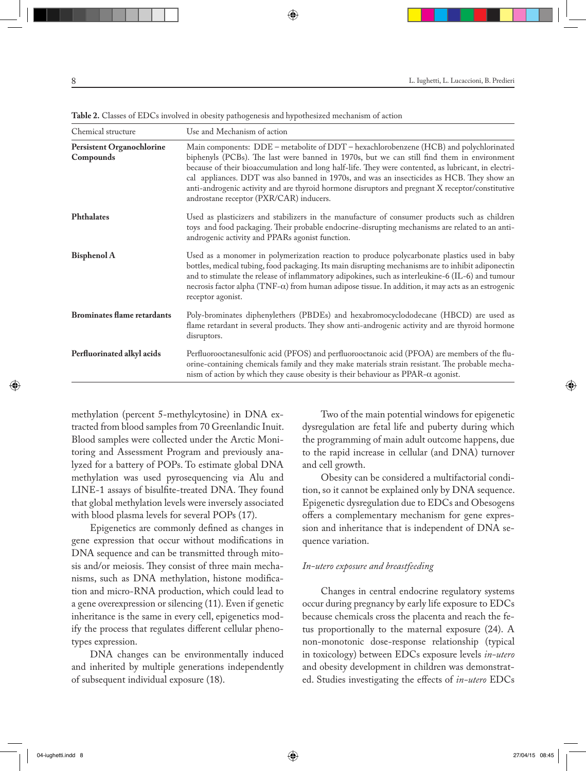| Chemical structure                     | Use and Mechanism of action                                                                                                                                                                                                                                                                                                                                                                                                                                                                                                              |
|----------------------------------------|------------------------------------------------------------------------------------------------------------------------------------------------------------------------------------------------------------------------------------------------------------------------------------------------------------------------------------------------------------------------------------------------------------------------------------------------------------------------------------------------------------------------------------------|
| Persistent Organochlorine<br>Compounds | Main components: DDE - metabolite of DDT - hexachlorobenzene (HCB) and polychlorinated<br>biphenyls (PCBs). The last were banned in 1970s, but we can still find them in environment<br>because of their bioaccumulation and long half-life. They were contented, as lubricant, in electri-<br>cal appliances. DDT was also banned in 1970s, and was an insecticides as HCB. They show an<br>anti-androgenic activity and are thyroid hormone disruptors and pregnant X receptor/constitutive<br>androstane receptor (PXR/CAR) inducers. |
| Phthalates                             | Used as plasticizers and stabilizers in the manufacture of consumer products such as children<br>toys and food packaging. Their probable endocrine-disrupting mechanisms are related to an anti-<br>androgenic activity and PPARs agonist function.                                                                                                                                                                                                                                                                                      |
| <b>Bisphenol A</b>                     | Used as a monomer in polymerization reaction to produce polycarbonate plastics used in baby<br>bottles, medical tubing, food packaging. Its main disrupting mechanisms are to inhibit adiponectin<br>and to stimulate the release of inflammatory adipokines, such as interleukine-6 (IL-6) and tumour<br>necrosis factor alpha ( $TNF-\alpha$ ) from human adipose tissue. In addition, it may acts as an estrogenic<br>receptor agonist.                                                                                               |
| <b>Brominates flame retardants</b>     | Poly-brominates diphenylethers (PBDEs) and hexabromocyclododecane (HBCD) are used as<br>flame retardant in several products. They show anti-androgenic activity and are thyroid hormone<br>disruptors.                                                                                                                                                                                                                                                                                                                                   |
| Perfluorinated alkyl acids             | Perfluorooctanesulfonic acid (PFOS) and perfluorooctanoic acid (PFOA) are members of the flu-<br>orine-containing chemicals family and they make materials strain resistant. The probable mecha-<br>nism of action by which they cause obesity is their behaviour as PPAR- $\alpha$ agonist.                                                                                                                                                                                                                                             |

**Table 2.** Classes of EDCs involved in obesity pathogenesis and hypothesized mechanism of action

methylation (percent 5-methylcytosine) in DNA extracted from blood samples from 70 Greenlandic Inuit. Blood samples were collected under the Arctic Monitoring and Assessment Program and previously analyzed for a battery of POPs. To estimate global DNA methylation was used pyrosequencing via Alu and LINE-1 assays of bisulfite-treated DNA. They found that global methylation levels were inversely associated with blood plasma levels for several POPs (17).

Epigenetics are commonly defined as changes in gene expression that occur without modifications in DNA sequence and can be transmitted through mitosis and/or meiosis. They consist of three main mechanisms, such as DNA methylation, histone modification and micro-RNA production, which could lead to a gene overexpression or silencing (11). Even if genetic inheritance is the same in every cell, epigenetics modify the process that regulates different cellular phenotypes expression.

DNA changes can be environmentally induced and inherited by multiple generations independently of subsequent individual exposure (18).

Two of the main potential windows for epigenetic dysregulation are fetal life and puberty during which the programming of main adult outcome happens, due to the rapid increase in cellular (and DNA) turnover and cell growth.

Obesity can be considered a multifactorial condition, so it cannot be explained only by DNA sequence. Epigenetic dysregulation due to EDCs and Obesogens offers a complementary mechanism for gene expression and inheritance that is independent of DNA sequence variation.

#### *In-utero exposure and breastfeeding*

Changes in central endocrine regulatory systems occur during pregnancy by early life exposure to EDCs because chemicals cross the placenta and reach the fetus proportionally to the maternal exposure (24). A non-monotonic dose-response relationship (typical in toxicology) between EDCs exposure levels *in-utero* and obesity development in children was demonstrated. Studies investigating the effects of *in-utero* EDCs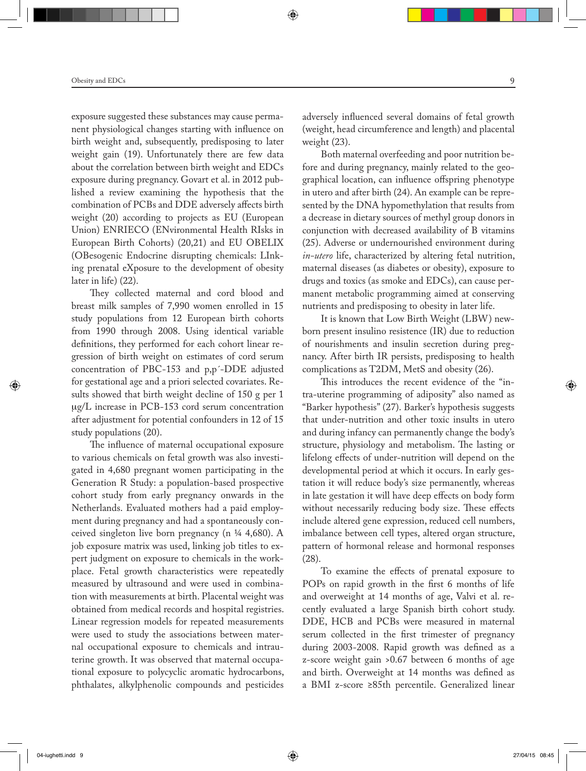exposure suggested these substances may cause permanent physiological changes starting with influence on birth weight and, subsequently, predisposing to later weight gain (19). Unfortunately there are few data about the correlation between birth weight and EDCs exposure during pregnancy. Govart et al. in 2012 published a review examining the hypothesis that the combination of PCBs and DDE adversely affects birth weight (20) according to projects as EU (European Union) ENRIECO (ENvironmental Health RIsks in European Birth Cohorts) (20,21) and EU OBELIX (OBesogenic Endocrine disrupting chemicals: LInking prenatal eXposure to the development of obesity later in life) (22).

They collected maternal and cord blood and breast milk samples of 7,990 women enrolled in 15 study populations from 12 European birth cohorts from 1990 through 2008. Using identical variable definitions, they performed for each cohort linear regression of birth weight on estimates of cord serum concentration of PBC-153 and p,p´-DDE adjusted for gestational age and a priori selected covariates. Results showed that birth weight decline of 150 g per 1  $\mu$ g/L increase in PCB-153 cord serum concentration after adjustment for potential confounders in 12 of 15 study populations (20).

The influence of maternal occupational exposure to various chemicals on fetal growth was also investigated in 4,680 pregnant women participating in the Generation R Study: a population-based prospective cohort study from early pregnancy onwards in the Netherlands. Evaluated mothers had a paid employment during pregnancy and had a spontaneously conceived singleton live born pregnancy (n ¼ 4,680). A job exposure matrix was used, linking job titles to expert judgment on exposure to chemicals in the workplace. Fetal growth characteristics were repeatedly measured by ultrasound and were used in combination with measurements at birth. Placental weight was obtained from medical records and hospital registries. Linear regression models for repeated measurements were used to study the associations between maternal occupational exposure to chemicals and intrauterine growth. It was observed that maternal occupational exposure to polycyclic aromatic hydrocarbons, phthalates, alkylphenolic compounds and pesticides

adversely influenced several domains of fetal growth (weight, head circumference and length) and placental weight (23).

Both maternal overfeeding and poor nutrition before and during pregnancy, mainly related to the geographical location, can influence offspring phenotype in utero and after birth (24). An example can be represented by the DNA hypomethylation that results from a decrease in dietary sources of methyl group donors in conjunction with decreased availability of B vitamins (25). Adverse or undernourished environment during *in-utero* life, characterized by altering fetal nutrition, maternal diseases (as diabetes or obesity), exposure to drugs and toxics (as smoke and EDCs), can cause permanent metabolic programming aimed at conserving nutrients and predisposing to obesity in later life.

It is known that Low Birth Weight (LBW) newborn present insulino resistence (IR) due to reduction of nourishments and insulin secretion during pregnancy. After birth IR persists, predisposing to health complications as T2DM, MetS and obesity (26).

This introduces the recent evidence of the "intra-uterine programming of adiposity" also named as "Barker hypothesis" (27). Barker's hypothesis suggests that under-nutrition and other toxic insults in utero and during infancy can permanently change the body's structure, physiology and metabolism. The lasting or lifelong effects of under-nutrition will depend on the developmental period at which it occurs. In early gestation it will reduce body's size permanently, whereas in late gestation it will have deep effects on body form without necessarily reducing body size. These effects include altered gene expression, reduced cell numbers, imbalance between cell types, altered organ structure, pattern of hormonal release and hormonal responses (28).

To examine the effects of prenatal exposure to POPs on rapid growth in the first 6 months of life and overweight at 14 months of age, Valvi et al. recently evaluated a large Spanish birth cohort study. DDE, HCB and PCBs were measured in maternal serum collected in the first trimester of pregnancy during 2003-2008. Rapid growth was defined as a z-score weight gain >0.67 between 6 months of age and birth. Overweight at 14 months was defined as a BMI z-score ≥85th percentile. Generalized linear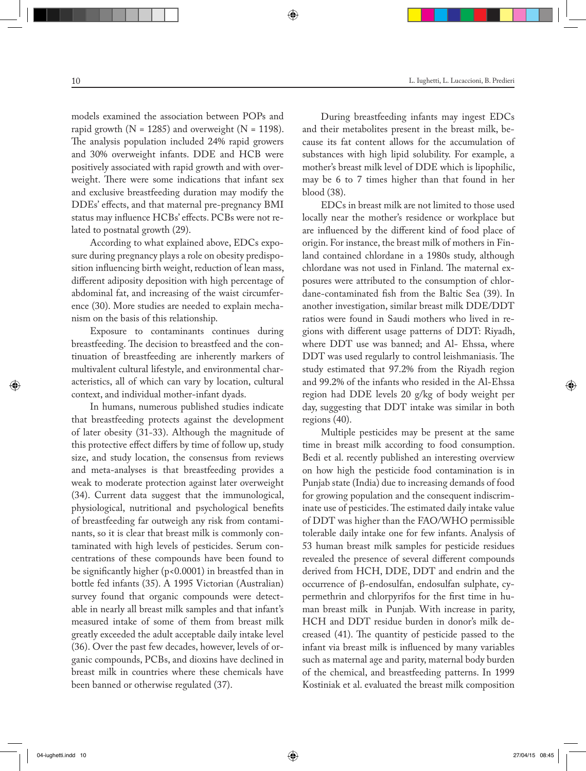models examined the association between POPs and rapid growth ( $N = 1285$ ) and overweight ( $N = 1198$ ). The analysis population included 24% rapid growers and 30% overweight infants. DDE and HCB were positively associated with rapid growth and with overweight. There were some indications that infant sex and exclusive breastfeeding duration may modify the DDEs' effects, and that maternal pre-pregnancy BMI status may influence HCBs' effects. PCBs were not related to postnatal growth (29).

According to what explained above, EDCs exposure during pregnancy plays a role on obesity predisposition influencing birth weight, reduction of lean mass, different adiposity deposition with high percentage of abdominal fat, and increasing of the waist circumference (30). More studies are needed to explain mechanism on the basis of this relationship.

Exposure to contaminants continues during breastfeeding. The decision to breastfeed and the continuation of breastfeeding are inherently markers of multivalent cultural lifestyle, and environmental characteristics, all of which can vary by location, cultural context, and individual mother-infant dyads.

In humans, numerous published studies indicate that breastfeeding protects against the development of later obesity (31-33). Although the magnitude of this protective effect differs by time of follow up, study size, and study location, the consensus from reviews and meta-analyses is that breastfeeding provides a weak to moderate protection against later overweight (34). Current data suggest that the immunological, physiological, nutritional and psychological benefits of breastfeeding far outweigh any risk from contaminants, so it is clear that breast milk is commonly contaminated with high levels of pesticides. Serum concentrations of these compounds have been found to be significantly higher (p<0.0001) in breastfed than in bottle fed infants (35). A 1995 Victorian (Australian) survey found that organic compounds were detectable in nearly all breast milk samples and that infant's measured intake of some of them from breast milk greatly exceeded the adult acceptable daily intake level (36). Over the past few decades, however, levels of organic compounds, PCBs, and dioxins have declined in breast milk in countries where these chemicals have been banned or otherwise regulated (37).

During breastfeeding infants may ingest EDCs and their metabolites present in the breast milk, because its fat content allows for the accumulation of substances with high lipid solubility. For example, a mother's breast milk level of DDE which is lipophilic, may be 6 to 7 times higher than that found in her blood (38).

EDCs in breast milk are not limited to those used locally near the mother's residence or workplace but are influenced by the different kind of food place of origin. For instance, the breast milk of mothers in Finland contained chlordane in a 1980s study, although chlordane was not used in Finland. The maternal exposures were attributed to the consumption of chlordane-contaminated fish from the Baltic Sea (39). In another investigation, similar breast milk DDE/DDT ratios were found in Saudi mothers who lived in regions with different usage patterns of DDT: Riyadh, where DDT use was banned; and Al- Ehssa, where DDT was used regularly to control leishmaniasis. The study estimated that 97.2% from the Riyadh region and 99.2% of the infants who resided in the Al-Ehssa region had DDE levels 20 g/kg of body weight per day, suggesting that DDT intake was similar in both regions (40).

Multiple pesticides may be present at the same time in breast milk according to food consumption. Bedi et al. recently published an interesting overview on how high the pesticide food contamination is in Punjab state (India) due to increasing demands of food for growing population and the consequent indiscriminate use of pesticides. The estimated daily intake value of DDT was higher than the FAO/WHO permissible tolerable daily intake one for few infants. Analysis of 53 human breast milk samples for pesticide residues revealed the presence of several different compounds derived from HCH, DDE, DDT and endrin and the occurrence of β-endosulfan, endosulfan sulphate, cypermethrin and chlorpyrifos for the first time in human breast milk in Punjab. With increase in parity, HCH and DDT residue burden in donor's milk decreased (41). The quantity of pesticide passed to the infant via breast milk is influenced by many variables such as maternal age and parity, maternal body burden of the chemical, and breastfeeding patterns. In 1999 Kostiniak et al. evaluated the breast milk composition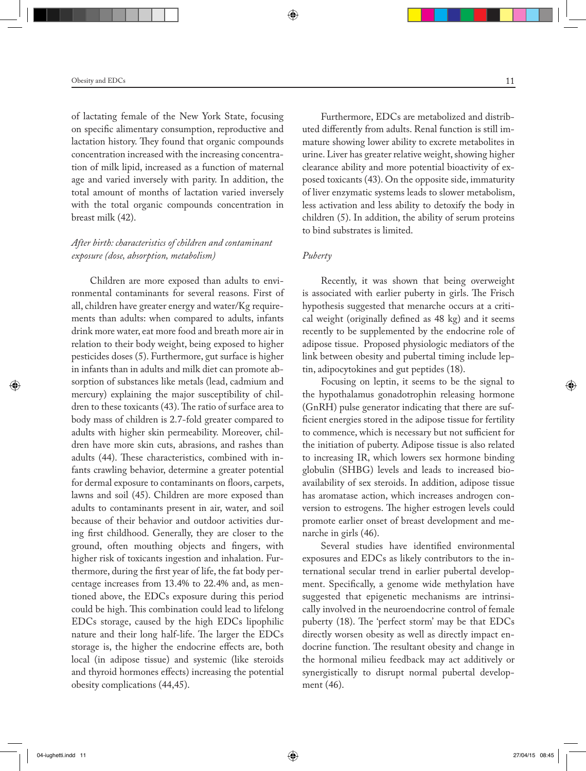of lactating female of the New York State, focusing on specific alimentary consumption, reproductive and lactation history. They found that organic compounds concentration increased with the increasing concentration of milk lipid, increased as a function of maternal age and varied inversely with parity. In addition, the total amount of months of lactation varied inversely with the total organic compounds concentration in breast milk (42).

# *After birth: characteristics of children and contaminant exposure (dose, absorption, metabolism)*

Children are more exposed than adults to environmental contaminants for several reasons. First of all, children have greater energy and water/Kg requirements than adults: when compared to adults, infants drink more water, eat more food and breath more air in relation to their body weight, being exposed to higher pesticides doses (5). Furthermore, gut surface is higher in infants than in adults and milk diet can promote absorption of substances like metals (lead, cadmium and mercury) explaining the major susceptibility of children to these toxicants (43). The ratio of surface area to body mass of children is 2.7-fold greater compared to adults with higher skin permeability. Moreover, children have more skin cuts, abrasions, and rashes than adults (44). These characteristics, combined with infants crawling behavior, determine a greater potential for dermal exposure to contaminants on floors, carpets, lawns and soil (45). Children are more exposed than adults to contaminants present in air, water, and soil because of their behavior and outdoor activities during first childhood. Generally, they are closer to the ground, often mouthing objects and fingers, with higher risk of toxicants ingestion and inhalation. Furthermore, during the first year of life, the fat body percentage increases from 13.4% to 22.4% and, as mentioned above, the EDCs exposure during this period could be high. This combination could lead to lifelong EDCs storage, caused by the high EDCs lipophilic nature and their long half-life. The larger the EDCs storage is, the higher the endocrine effects are, both local (in adipose tissue) and systemic (like steroids and thyroid hormones effects) increasing the potential obesity complications (44,45).

Furthermore, EDCs are metabolized and distributed differently from adults. Renal function is still immature showing lower ability to excrete metabolites in urine. Liver has greater relative weight, showing higher clearance ability and more potential bioactivity of exposed toxicants (43). On the opposite side, immaturity of liver enzymatic systems leads to slower metabolism, less activation and less ability to detoxify the body in children (5). In addition, the ability of serum proteins to bind substrates is limited.

# *Puberty*

Recently, it was shown that being overweight is associated with earlier puberty in girls. The Frisch hypothesis suggested that menarche occurs at a critical weight (originally defined as 48 kg) and it seems recently to be supplemented by the endocrine role of adipose tissue. Proposed physiologic mediators of the link between obesity and pubertal timing include leptin, adipocytokines and gut peptides (18).

Focusing on leptin, it seems to be the signal to the hypothalamus gonadotrophin releasing hormone (GnRH) pulse generator indicating that there are sufficient energies stored in the adipose tissue for fertility to commence, which is necessary but not sufficient for the initiation of puberty. Adipose tissue is also related to increasing IR, which lowers sex hormone binding globulin (SHBG) levels and leads to increased bioavailability of sex steroids. In addition, adipose tissue has aromatase action, which increases androgen conversion to estrogens. The higher estrogen levels could promote earlier onset of breast development and menarche in girls (46).

Several studies have identified environmental exposures and EDCs as likely contributors to the international secular trend in earlier pubertal development. Specifically, a genome wide methylation have suggested that epigenetic mechanisms are intrinsically involved in the neuroendocrine control of female puberty (18). The 'perfect storm' may be that EDCs directly worsen obesity as well as directly impact endocrine function. The resultant obesity and change in the hormonal milieu feedback may act additively or synergistically to disrupt normal pubertal development (46).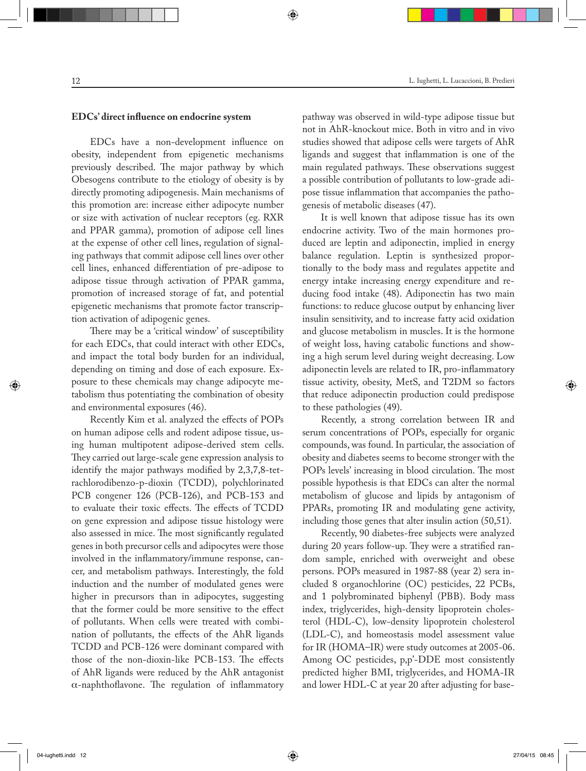# **EDCs' direct influence on endocrine system**

EDCs have a non-development influence on obesity, independent from epigenetic mechanisms previously described. The major pathway by which Obesogens contribute to the etiology of obesity is by directly promoting adipogenesis. Main mechanisms of this promotion are: increase either adipocyte number or size with activation of nuclear receptors (eg. RXR and PPAR gamma), promotion of adipose cell lines at the expense of other cell lines, regulation of signaling pathways that commit adipose cell lines over other cell lines, enhanced differentiation of pre-adipose to adipose tissue through activation of PPAR gamma, promotion of increased storage of fat, and potential epigenetic mechanisms that promote factor transcription activation of adipogenic genes.

There may be a 'critical window' of susceptibility for each EDCs, that could interact with other EDCs, and impact the total body burden for an individual, depending on timing and dose of each exposure. Exposure to these chemicals may change adipocyte metabolism thus potentiating the combination of obesity and environmental exposures (46).

Recently Kim et al. analyzed the effects of POPs on human adipose cells and rodent adipose tissue, using human multipotent adipose-derived stem cells. They carried out large-scale gene expression analysis to identify the major pathways modified by 2,3,7,8-tetrachlorodibenzo-p-dioxin (TCDD), polychlorinated PCB congener 126 (PCB-126), and PCB-153 and to evaluate their toxic effects. The effects of TCDD on gene expression and adipose tissue histology were also assessed in mice. The most significantly regulated genes in both precursor cells and adipocytes were those involved in the inflammatory/immune response, cancer, and metabolism pathways. Interestingly, the fold induction and the number of modulated genes were higher in precursors than in adipocytes, suggesting that the former could be more sensitive to the effect of pollutants. When cells were treated with combination of pollutants, the effects of the AhR ligands TCDD and PCB-126 were dominant compared with those of the non-dioxin-like PCB-153. The effects of AhR ligands were reduced by the AhR antagonist α-naphthoflavone. The regulation of inflammatory pathway was observed in wild-type adipose tissue but not in AhR-knockout mice. Both in vitro and in vivo studies showed that adipose cells were targets of AhR ligands and suggest that inflammation is one of the main regulated pathways. These observations suggest a possible contribution of pollutants to low-grade adipose tissue inflammation that accompanies the pathogenesis of metabolic diseases (47).

It is well known that adipose tissue has its own endocrine activity. Two of the main hormones produced are leptin and adiponectin, implied in energy balance regulation. Leptin is synthesized proportionally to the body mass and regulates appetite and energy intake increasing energy expenditure and reducing food intake (48). Adiponectin has two main functions: to reduce glucose output by enhancing liver insulin sensitivity, and to increase fatty acid oxidation and glucose metabolism in muscles. It is the hormone of weight loss, having catabolic functions and showing a high serum level during weight decreasing. Low adiponectin levels are related to IR, pro-inflammatory tissue activity, obesity, MetS, and T2DM so factors that reduce adiponectin production could predispose to these pathologies (49).

Recently, a strong correlation between IR and serum concentrations of POPs, especially for organic compounds, was found. In particular, the association of obesity and diabetes seems to become stronger with the POPs levels' increasing in blood circulation. The most possible hypothesis is that EDCs can alter the normal metabolism of glucose and lipids by antagonism of PPARs, promoting IR and modulating gene activity, including those genes that alter insulin action (50,51).

Recently, 90 diabetes-free subjects were analyzed during 20 years follow-up. They were a stratified random sample, enriched with overweight and obese persons. POPs measured in 1987-88 (year 2) sera included 8 organochlorine (OC) pesticides, 22 PCBs, and 1 polybrominated biphenyl (PBB). Body mass index, triglycerides, high-density lipoprotein cholesterol (HDL-C), low-density lipoprotein cholesterol (LDL-C), and homeostasis model assessment value for IR (HOMA–IR) were study outcomes at 2005-06. Among OC pesticides, p,p'-DDE most consistently predicted higher BMI, triglycerides, and HOMA-IR and lower HDL-C at year 20 after adjusting for base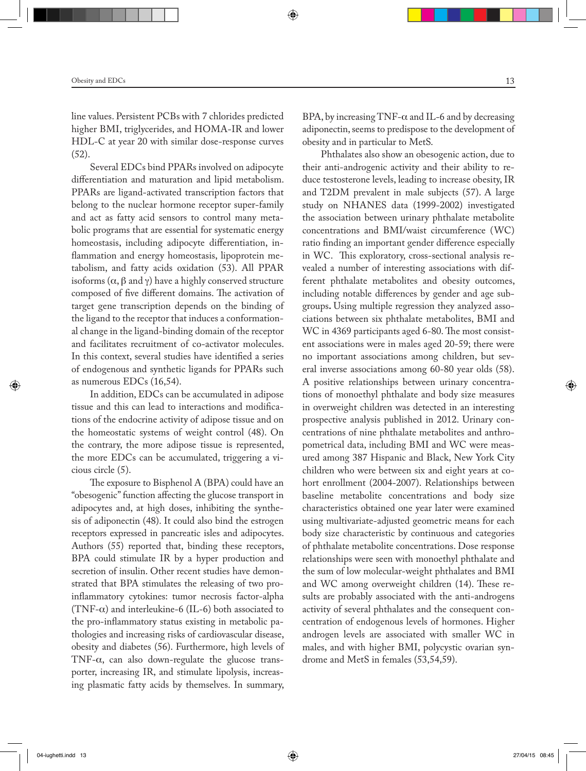line values. Persistent PCBs with 7 chlorides predicted higher BMI, triglycerides, and HOMA-IR and lower HDL-C at year 20 with similar dose-response curves (52).

Several EDCs bind PPARs involved on adipocyte differentiation and maturation and lipid metabolism. PPARs are ligand-activated transcription factors that belong to the nuclear hormone receptor super-family and act as fatty acid sensors to control many metabolic programs that are essential for systematic energy homeostasis, including adipocyte differentiation, inflammation and energy homeostasis, lipoprotein metabolism, and fatty acids oxidation (53). All PPAR isoforms  $(α, β \text{ and } γ)$  have a highly conserved structure composed of five different domains. The activation of target gene transcription depends on the binding of the ligand to the receptor that induces a conformational change in the ligand-binding domain of the receptor and facilitates recruitment of co-activator molecules. In this context, several studies have identified a series of endogenous and synthetic ligands for PPARs such as numerous EDCs (16,54).

In addition, EDCs can be accumulated in adipose tissue and this can lead to interactions and modifications of the endocrine activity of adipose tissue and on the homeostatic systems of weight control (48). On the contrary, the more adipose tissue is represented, the more EDCs can be accumulated, triggering a vicious circle (5).

The exposure to Bisphenol A (BPA) could have an "obesogenic" function affecting the glucose transport in adipocytes and, at high doses, inhibiting the synthesis of adiponectin (48). It could also bind the estrogen receptors expressed in pancreatic isles and adipocytes. Authors (55) reported that, binding these receptors, BPA could stimulate IR by a hyper production and secretion of insulin. Other recent studies have demonstrated that BPA stimulates the releasing of two proinflammatory cytokines: tumor necrosis factor-alpha (TNF- $\alpha$ ) and interleukine-6 (IL-6) both associated to the pro-inflammatory status existing in metabolic pathologies and increasing risks of cardiovascular disease, obesity and diabetes (56). Furthermore, high levels of TNF- $\alpha$ , can also down-regulate the glucose transporter, increasing IR, and stimulate lipolysis, increasing plasmatic fatty acids by themselves. In summary,

BPA, by increasing TNF- $\alpha$  and IL-6 and by decreasing adiponectin, seems to predispose to the development of obesity and in particular to MetS.

Phthalates also show an obesogenic action, due to their anti-androgenic activity and their ability to reduce testosterone levels, leading to increase obesity, IR and T2DM prevalent in male subjects (57). A large study on NHANES data (1999-2002) investigated the association between urinary phthalate metabolite concentrations and BMI/waist circumference (WC) ratio finding an important gender difference especially in WC. This exploratory, cross-sectional analysis revealed a number of interesting associations with different phthalate metabolites and obesity outcomes, including notable differences by gender and age subgroups**.** Using multiple regression they analyzed associations between six phthalate metabolites, BMI and WC in 4369 participants aged 6-80. The most consistent associations were in males aged 20-59; there were no important associations among children, but several inverse associations among 60-80 year olds (58). A positive relationships between urinary concentrations of monoethyl phthalate and body size measures in overweight children was detected in an interesting prospective analysis published in 2012. Urinary concentrations of nine phthalate metabolites and anthropometrical data, including BMI and WC were measured among 387 Hispanic and Black, New York City children who were between six and eight years at cohort enrollment (2004-2007). Relationships between baseline metabolite concentrations and body size characteristics obtained one year later were examined using multivariate-adjusted geometric means for each body size characteristic by continuous and categories of phthalate metabolite concentrations. Dose response relationships were seen with monoethyl phthalate and the sum of low molecular-weight phthalates and BMI and WC among overweight children (14). These results are probably associated with the anti-androgens activity of several phthalates and the consequent concentration of endogenous levels of hormones. Higher androgen levels are associated with smaller WC in males, and with higher BMI, polycystic ovarian syndrome and MetS in females (53,54,59).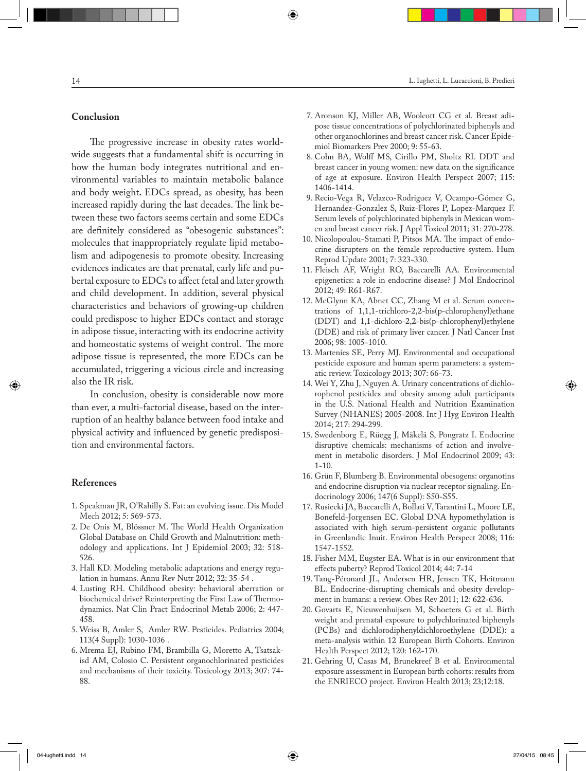# **Conclusion**

The progressive increase in obesity rates worldwide suggests that a fundamental shift is occurring in how the human body integrates nutritional and environmental variables to maintain metabolic balance and body weight**.** EDCs spread, as obesity, has been increased rapidly during the last decades. The link between these two factors seems certain and some EDCs are definitely considered as "obesogenic substances": molecules that inappropriately regulate lipid metabolism and adipogenesis to promote obesity. Increasing evidences indicates are that prenatal, early life and pubertal exposure to EDCs to affect fetal and later growth and child development. In addition, several physical characteristics and behaviors of growing-up children could predispose to higher EDCs contact and storage in adipose tissue, interacting with its endocrine activity and homeostatic systems of weight control. The more adipose tissue is represented, the more EDCs can be accumulated, triggering a vicious circle and increasing also the IR risk.

In conclusion, obesity is considerable now more than ever, a multi-factorial disease, based on the interruption of an healthy balance between food intake and physical activity and influenced by genetic predisposition and environmental factors.

## **References**

- 1. Speakman JR, O'Rahilly S. Fat: an evolving issue. Dis Model Mech 2012; 5: 569-573.
- 2. De Onis M, Blössner M. The World Health Organization Global Database on Child Growth and Malnutrition: methodology and applications. Int J Epidemiol 2003; 32: 518- 526.
- 3. Hall KD. Modeling metabolic adaptations and energy regulation in humans. Annu Rev Nutr 2012; 32: 35-54 .
- 4. Lusting RH. Childhood obesity: behavioral aberration or biochemical drive? Reinterpreting the First Law of Thermodynamics. Nat Clin Pract Endocrinol Metab 2006; 2: 447- 458.
- 5. Weiss B, Amler S, Amler RW. Pesticides. Pediatrics 2004; 113(4 Suppl): 1030-1036 .
- 6. Mrema EJ, Rubino FM, Brambilla G, Moretto A, Tsatsakisd AM, Colosio C. Persistent organochlorinated pesticides and mechanisms of their toxicity. Toxicology 2013; 307: 74- 88.
- 7. Aronson KJ, Miller AB, Woolcott CG et al. Breast adipose tissue concentrations of polychlorinated biphenyls and other organochlorines and breast cancer risk. Cancer Epidemiol Biomarkers Prev 2000; 9: 55-63.
- 8. Cohn BA, Wolff MS, Cirillo PM, Sholtz RI. DDT and breast cancer in young women: new data on the significance of age at exposure. Environ Health Perspect 2007; 115: 1406-1414.
- 9. Recio-Vega R, Velazco-Rodriguez V, Ocampo-Gómez G, Hernandez-Gonzalez S, Ruiz-Flores P, Lopez-Marquez F. Serum levels of polychlorinated biphenyls in Mexican women and breast cancer risk. J Appl Toxicol 2011; 31: 270-278.
- 10. Nicolopoulou-Stamati P, Pitsos MA. The impact of endocrine disrupters on the female reproductive system. Hum Reprod Update 2001; 7: 323-330.
- 11. Fleisch AF, Wright RO, Baccarelli AA. Environmental epigenetics: a role in endocrine disease? J Mol Endocrinol 2012; 49: R61-R67.
- 12. McGlynn KA, Abnet CC, Zhang M et al. Serum concentrations of 1,1,1-trichloro-2,2-bis(p-chlorophenyl)ethane (DDT) and 1,1-dichloro-2,2-bis(p-chlorophenyl)ethylene (DDE) and risk of primary liver cancer. J Natl Cancer Inst 2006; 98: 1005-1010.
- 13. Martenies SE, Perry MJ. Environmental and occupational pesticide exposure and human sperm parameters: a systematic review. Toxicology 2013; 307: 66-73.
- 14. Wei Y, Zhu J, Nguyen A. Urinary concentrations of dichlorophenol pesticides and obesity among adult participants in the U.S. National Health and Nutrition Examination Survey (NHANES) 2005-2008. Int J Hyg Environ Health 2014; 217: 294-299.
- 15. Swedenborg E, Rüegg J, Mäkelä S, Pongratz I. Endocrine disruptive chemicals: mechanisms of action and involvement in metabolic disorders. J Mol Endocrinol 2009; 43: 1-10.
- 16. Grün F, Blumberg B. Environmental obesogens: organotins and endocrine disruption via nuclear receptor signaling. Endocrinology 2006; 147(6 Suppl): S50-S55.
- 17. Rusiecki JA, Baccarelli A, Bollati V, Tarantini L, Moore LE, Bonefeld-Jorgensen EC. Global DNA hypomethylation is associated with high serum-persistent organic pollutants in Greenlandic Inuit. Environ Health Perspect 2008; 116: 1547-1552.
- 18. Fisher MM, Eugster EA. What is in our environment that effects puberty? Reprod Toxicol 2014; 44: 7-14
- 19. Tang-Péronard JL, Andersen HR, Jensen TK, Heitmann BL. Endocrine-disrupting chemicals and obesity development in humans: a review. Obes Rev 2011; 12: 622-636.
- 20. Govarts E, Nieuwenhuijsen M, Schoeters G et al. Birth weight and prenatal exposure to polychlorinated biphenyls (PCBs) and dichlorodiphenyldichloroethylene (DDE): a meta-analysis within 12 European Birth Cohorts. Environ Health Perspect 2012; 120: 162-170.
- 21. Gehring U, Casas M, Brunekreef B et al. Environmental exposure assessment in European birth cohorts: results from the ENRIECO project. Environ Health 2013; 23;12:18.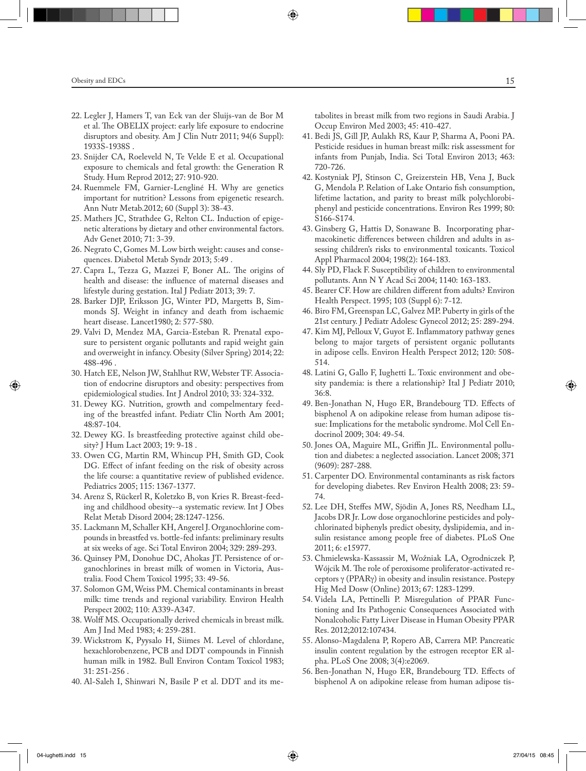- 22. Legler J, Hamers T, van Eck van der Sluijs-van de Bor M et al. The OBELIX project: early life exposure to endocrine disruptors and obesity. Am J Clin Nutr 2011; 94(6 Suppl): 1933S-1938S .
- 23. Snijder CA, Roeleveld N, Te Velde E et al. Occupational exposure to chemicals and fetal growth: the Generation R Study. Hum Reprod 2012; 27: 910-920.
- 24. Ruemmele FM, Garnier-Lengliné H. Why are genetics important for nutrition? Lessons from epigenetic research. Ann Nutr Metab.2012; 60 (Suppl 3): 38-43.
- 25. Mathers JC, Strathdee G, Relton CL. Induction of epigenetic alterations by dietary and other environmental factors. Adv Genet 2010; 71: 3-39.
- 26. Negrato C, Gomes M. Low birth weight: causes and consequences. Diabetol Metab Syndr 2013; 5:49 .
- 27. Capra L, Tezza G, Mazzei F, Boner AL. The origins of health and disease: the influence of maternal diseases and lifestyle during gestation. Ital J Pediatr 2013; 39: 7.
- 28. Barker DJP, Eriksson JG, Winter PD, Margetts B, Simmonds SJ. Weight in infancy and death from ischaemic heart disease. Lancet1980; 2: 577-580.
- 29. Valvi D, Mendez MA, Garcia-Esteban R. Prenatal exposure to persistent organic pollutants and rapid weight gain and overweight in infancy. Obesity (Silver Spring) 2014; 22: 488-496 .
- 30. Hatch EE, Nelson JW, Stahlhut RW, Webster TF. Association of endocrine disruptors and obesity: perspectives from epidemiological studies. Int J Androl 2010; 33: 324-332.
- 31. Dewey KG. Nutrition, growth and compelmentary feeding of the breastfed infant. Pediatr Clin North Am 2001; 48:87-104.
- 32. Dewey KG. Is breastfeeding protective against child obesity? J Hum Lact 2003; 19: 9-18 .
- 33. Owen CG, Martin RM, Whincup PH, Smith GD, Cook DG. Effect of infant feeding on the risk of obesity across the life course: a quantitative review of published evidence. Pediatrics 2005; 115: 1367-1377.
- 34. Arenz S, Rückerl R, Koletzko B, von Kries R. Breast-feeding and childhood obesity--a systematic review. Int J Obes Relat Metab Disord 2004; 28:1247-1256.
- 35. Lackmann M, Schaller KH, Angerel J. Organochlorine compounds in breastfed vs. bottle-fed infants: preliminary results at six weeks of age. Sci Total Environ 2004; 329: 289-293.
- 36. Quinsey PM, Donohue DC, Ahokas JT. Persistence of organochlorines in breast milk of women in Victoria, Australia. Food Chem Toxicol 1995; 33: 49-56.
- 37. Solomon GM, Weiss PM. Chemical contaminants in breast milk: time trends and regional variability. Environ Health Perspect 2002; 110: A339-A347.
- 38. Wolff MS. Occupationally derived chemicals in breast milk. Am J Ind Med 1983; 4: 259-281.
- 39. Wickstrom K, Pyysalo H, Siimes M. Level of chlordane, hexachlorobenzene, PCB and DDT compounds in Finnish human milk in 1982. Bull Environ Contam Toxicol 1983; 31: 251-256 .
- 40. Al-Saleh I, Shinwari N, Basile P et al. DDT and its me-

tabolites in breast milk from two regions in Saudi Arabia. J Occup Environ Med 2003; 45: 410-427.

- 41. Bedi JS, Gill JP, Aulakh RS, Kaur P, Sharma A, Pooni PA. Pesticide residues in human breast milk: risk assessment for infants from Punjab, India. Sci Total Environ 2013; 463: 720-726.
- 42. Kostyniak PJ, Stinson C, Greizerstein HB, Vena J, Buck G, Mendola P. Relation of Lake Ontario fish consumption, lifetime lactation, and parity to breast milk polychlorobiphenyl and pesticide concentrations. Environ Res 1999; 80: S166-S174.
- 43. Ginsberg G, Hattis D, Sonawane B. Incorporating pharmacokinetic differences between children and adults in assessing children's risks to environmental toxicants. Toxicol Appl Pharmacol 2004; 198(2): 164-183.
- 44. Sly PD, Flack F. Susceptibility of children to environmental pollutants. Ann N Y Acad Sci 2004; 1140: 163-183.
- 45. Bearer CF. How are children different from adults? Environ Health Perspect. 1995; 103 (Suppl 6): 7-12.
- 46. Biro FM, Greenspan LC, Galvez MP. Puberty in girls of the 21st century. J Pediatr Adolesc Gynecol 2012; 25: 289-294.
- 47. Kim MJ, Pelloux V, Guyot E. Inflammatory pathway genes belong to major targets of persistent organic pollutants in adipose cells. Environ Health Perspect 2012; 120: 508- 514.
- 48. Latini G, Gallo F, Iughetti L. Toxic environment and obesity pandemia: is there a relationship? Ital J Pediatr 2010; 36:8.
- 49. Ben-Jonathan N, Hugo ER, Brandebourg TD. Effects of bisphenol A on adipokine release from human adipose tissue: Implications for the metabolic syndrome. Mol Cell Endocrinol 2009; 304: 49-54.
- 50. Jones OA, Maguire ML, Griffin JL. Environmental pollution and diabetes: a neglected association. Lancet 2008; 371 (9609): 287-288.
- 51. Carpenter DO. Environmental contaminants as risk factors for developing diabetes. Rev Environ Health 2008; 23: 59- 74.
- 52. Lee DH, Steffes MW, Sjödin A, Jones RS, Needham LL, Jacobs DR Jr. Low dose organochlorine pesticides and polychlorinated biphenyls predict obesity, dyslipidemia, and insulin resistance among people free of diabetes. PLoS One 2011; 6: e15977.
- 53. Chmielewska-Kassassir M, Woźniak LA, Ogrodniczek P, Wójcik M. The role of peroxisome proliferator-activated receptors γ (PPARγ) in obesity and insulin resistance. Postepy Hig Med Dosw (Online) 2013; 67: 1283-1299.
- 54. Videla LA, Pettinelli P. Misregulation of PPAR Functioning and Its Pathogenic Consequences Associated with Nonalcoholic Fatty Liver Disease in Human Obesity PPAR Res. 2012;2012:107434.
- 55. Alonso-Magdalena P, Ropero AB, Carrera MP. Pancreatic insulin content regulation by the estrogen receptor ER alpha. PLoS One 2008; 3(4):e2069.
- 56. Ben-Jonathan N, Hugo ER, Brandebourg TD. Effects of bisphenol A on adipokine release from human adipose tis-